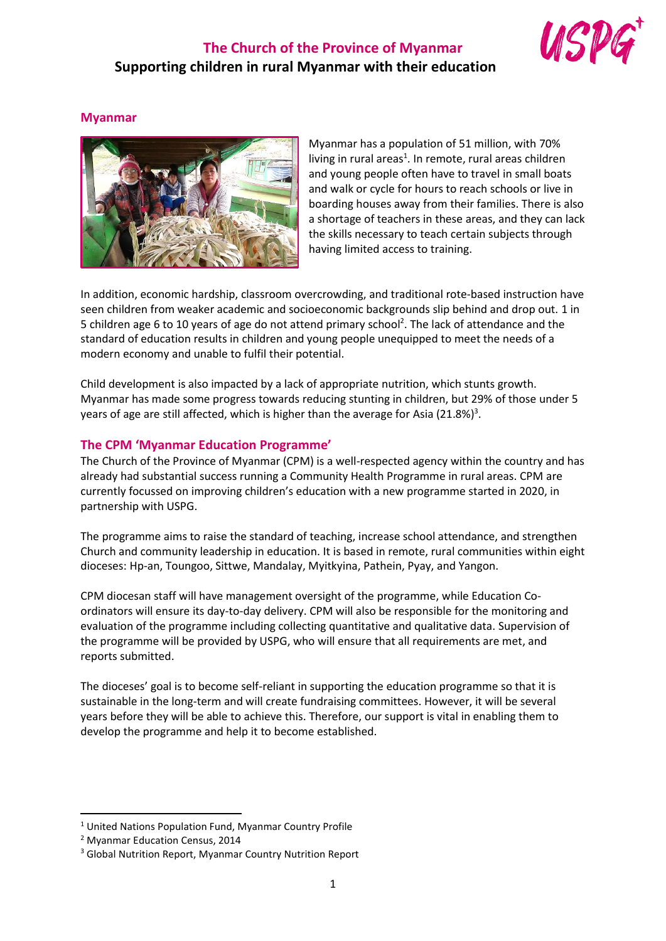# **The Church of the Province of Myanmar Supporting children in rural Myanmar with their education**



### **Myanmar**



Myanmar has a population of 51 million, with 70% living in rural areas<sup>1</sup>. In remote, rural areas children and young people often have to travel in small boats and walk or cycle for hours to reach schools or live in boarding houses away from their families. There is also a shortage of teachers in these areas, and they can lack the skills necessary to teach certain subjects through having limited access to training.

In addition, economic hardship, classroom overcrowding, and traditional rote-based instruction have seen children from weaker academic and socioeconomic backgrounds slip behind and drop out. 1 in 5 children age 6 to 10 years of age do not attend primary school<sup>2</sup>. The lack of attendance and the standard of education results in children and young people unequipped to meet the needs of a modern economy and unable to fulfil their potential.

Child development is also impacted by a lack of appropriate nutrition, which stunts growth. Myanmar has made some progress towards reducing stunting in children, but 29% of those under 5 years of age are still affected, which is higher than the average for Asia (21.8%)<sup>3</sup>.

#### **The CPM 'Myanmar Education Programme'**

The Church of the Province of Myanmar (CPM) is a well-respected agency within the country and has already had substantial success running a Community Health Programme in rural areas. CPM are currently focussed on improving children's education with a new programme started in 2020, in partnership with USPG.

The programme aims to raise the standard of teaching, increase school attendance, and strengthen Church and community leadership in education. It is based in remote, rural communities within eight dioceses: Hp-an, Toungoo, Sittwe, Mandalay, Myitkyina, Pathein, Pyay, and Yangon.

CPM diocesan staff will have management oversight of the programme, while Education Coordinators will ensure its day-to-day delivery. CPM will also be responsible for the monitoring and evaluation of the programme including collecting quantitative and qualitative data. Supervision of the programme will be provided by USPG, who will ensure that all requirements are met, and reports submitted.

The dioceses' goal is to become self-reliant in supporting the education programme so that it is sustainable in the long-term and will create fundraising committees. However, it will be several years before they will be able to achieve this. Therefore, our support is vital in enabling them to develop the programme and help it to become established.

<sup>&</sup>lt;sup>1</sup> United Nations Population Fund, Myanmar Country Profile

<sup>2</sup> Myanmar Education Census, 2014

<sup>3</sup> Global Nutrition Report, Myanmar Country Nutrition Report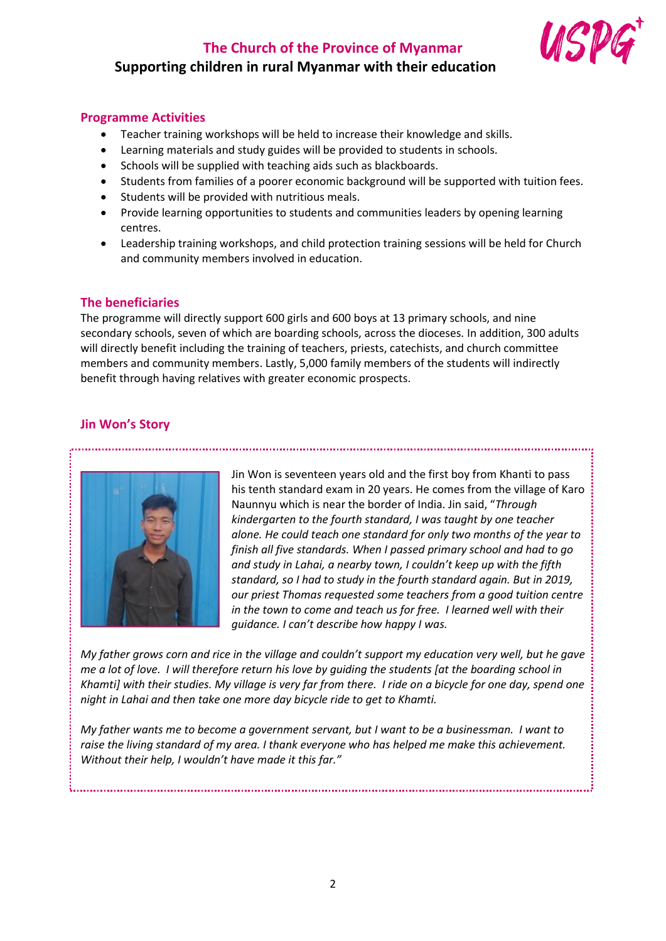# **The Church of the Province of Myanmar**



# **Supporting children in rural Myanmar with their education**

## **Programme Activities**

- Teacher training workshops will be held to increase their knowledge and skills.
- Learning materials and study guides will be provided to students in schools.
- Schools will be supplied with teaching aids such as blackboards.
- Students from families of a poorer economic background will be supported with tuition fees.
- Students will be provided with nutritious meals.
- Provide learning opportunities to students and communities leaders by opening learning centres.
- Leadership training workshops, and child protection training sessions will be held for Church and community members involved in education.

## **The beneficiaries**

The programme will directly support 600 girls and 600 boys at 13 primary schools, and nine secondary schools, seven of which are boarding schools, across the dioceses. In addition, 300 adults will directly benefit including the training of teachers, priests, catechists, and church committee members and community members. Lastly, 5,000 family members of the students will indirectly benefit through having relatives with greater economic prospects.

## **Jin Won's Story**



Jin Won is seventeen years old and the first boy from Khanti to pass his tenth standard exam in 20 years. He comes from the village of Karo Naunnyu which is near the border of India. Jin said, "*Through kindergarten to the fourth standard, I was taught by one teacher alone. He could teach one standard for only two months of the year to finish all five standards. When I passed primary school and had to go and study in Lahai, a nearby town, I couldn't keep up with the fifth standard, so I had to study in the fourth standard again. But in 2019, our priest Thomas requested some teachers from a good tuition centre in the town to come and teach us for free. I learned well with their guidance. I can't describe how happy I was.* 

*My father grows corn and rice in the village and couldn't support my education very well, but he gave me a lot of love. I will therefore return his love by guiding the students [at the boarding school in Khamti] with their studies. My village is very far from there. I ride on a bicycle for one day, spend one night in Lahai and then take one more day bicycle ride to get to Khamti.* 

*My father wants me to become a government servant, but I want to be a businessman. I want to raise the living standard of my area. I thank everyone who has helped me make this achievement. Without their help, I wouldn't have made it this far."*